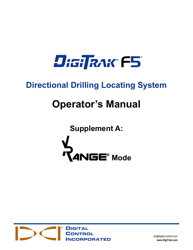

# **Directional Drilling Locating System**

# **Operator's Manual**

**Supplement A:**





[dci@digital-control.com](mailto:dci@digital-control.com) **[www.DigiTrak.com](http://www.digitrak.com/)**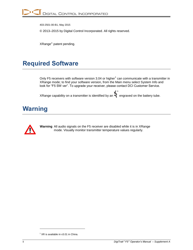403-2501-00-B1, May 2015

© 2013–2015 by Digital Control Incorporated. All rights reserved.

 $XRange^{\circledast}$  patent pending.

# <span id="page-1-0"></span>**Required Software**

Only F5 receivers with software version 3.04 or higher<sup>1</sup> can communicate with a transmitter in XRange mode; to find your software version, from the Main menu select System Info and look for "F5 SW ver". To upgrade your receiver, please contact DCI Customer Service.

XRange capability on a transmitter is identified by an ® engraved on the battery tube.

### <span id="page-1-1"></span>**Warning**



**Warning** All audio signals on the F5 receiver are disabled while it is in XRange mode. Visually monitor transmitter temperature values regularly.

l

 $1$  XR is available in v3.01 in China.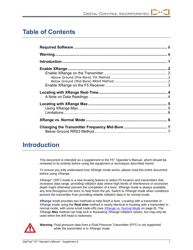## **Table of Contents**

### <span id="page-2-0"></span>**Introduction**

This document is intended as a supplement to the  $F5^{\circ}$  Operator's Manual, which should be reviewed in its entirety before using the equipment or techniques described herein.

To ensure you fully understand how XRange mode works, please read this entire document before using XRange.

XRange® (XR®) mode is a new locating feature in select F5 locators and transmitters that increases data range, providing roll/pitch data where high levels of interference or excessive depth might otherwise prevent the completion of a bore. XRange mode is always available, any time throughout the bore, to help finish the job. Switch to XRange mode when conditions prevent the transmitter from providing reliable roll/pitch data in its normal mode.

**XRange** mode provides two methods to help finish a bore. Locating with a transmitter in XRange mode using the **Real-time** method is nearly identical to locating with a transmitter in normal mode, with some small trade-offs (see *[XRange vs. Normal Mode](#page-7-1)* on page [6\)](#page-7-1). The XRange **Max** method can help lock in fluctuating XRange roll/pitch values, but may only be used when the drill head is stationary.



**Warning** Fluid pressure data from a Fluid Pressure Transmitter (FPT) is not supported while the transmitter is in XRange mode.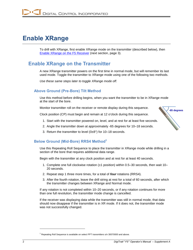# <span id="page-3-0"></span>**Enable XRange**

To drill with XRange, first enable XRange mode on the transmitter (described below), then [Enable XRange on the F5](#page-4-0) Receiver (next section, page [3\)](#page-4-0).

#### <span id="page-3-1"></span>**Enable XRange on the Transmitter**

A new XRange transmitter powers on the first time in normal mode, but will remember its last used mode. Toggle the transmitter to XRange mode using one of the following two methods.

*Use these same steps later to toggle XRange mode off.*

#### <span id="page-3-2"></span>**Above Ground (Pre-Bore) Tilt Method**

Use this method before drilling begins, when you want the transmitter to be in XRange mode at the start of the bore.

Monitor transmitter roll on the receiver or remote display during this sequence.

Clock position (CP) must begin and remain at 12 o'clock during this sequence.

- 1. Start with the transmitter powered on, level, and at rest for at least five seconds.
- 2. Angle the transmitter down at approximately -65 degrees for 10–18 seconds.
- 3. Return the transmitter to level (0±8°) for 10–18 seconds.

#### <span id="page-3-3"></span>**Below Ground (Mid-Bore) RRS4 Method<sup>1</sup>**

Use this Repeating Roll Sequence to place the transmitter in XRange mode while drilling in a section of the bore that requires additional data range.

Begin with the transmitter at any clock position and at rest for at least 40 seconds.

- 1. Complete one full clockwise rotation  $(\pm 1)$  position) within 0.5–30 seconds, then wait 10– 20 seconds.
- 2. Repeat step 1 three more times, for a total of *four* rotations (RRS4).
- 3. After the fourth rotation, leave the drill string at rest for a total of 60 seconds, after which the transmitter changes between XRange and Normal mode.

If any rotation is not completed within 10–20 seconds, or if any rotation continues for more than one full revolution, the transmitter mode change is cancelled.

If the receiver was displaying data while the transmitter was still in normal mode, that data should now disappear if the transmitter is in XR mode. If it does not, the transmitter mode was not successfully changed.

**-65 degrees**

l

 $1$  Repeating Roll Sequence is available on select FPT transmitters s/n 30070000 and above.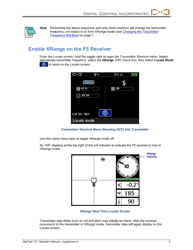

**Note** Performing the above sequence with only three rotations will change the transmitter frequency, not switch to or from XRange mode (see Changing [the Transmitter](#page-8-0)  [Frequency](#page-8-0) Mid-Bore on page [7.](#page-8-0)

### <span id="page-4-0"></span>**Enable XRange on the F5 Receiver**

From the Locate screen, hold the toggle right to open the Transmitter Shortcut menu. Select appropriate transmitter frequency, select the **XRange** (XR) check box, then select **Locate Mode**  $\bigoplus$  to return to the Locate screen.



**Transmitter Shortcut Menu Showing 19/12 kHz Transmitter**

*Use this same menu later to toggle XRange mode off.*

An "XR" displays at the top right of the roll indicator to indicate the F5 receiver is now in XRange mode.



**XRange Real-Time Locate Screen**

Transmitter data fields such as roll and pitch may initially be blank; after the receiver reconnects to the transmitter in XRange mode, transmitter data will again display on the Locate screen.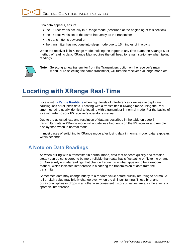If no data appears, ensure:

- the F5 receiver is actually in XRange mode (described at the beginning of this section)
- the F5 receiver is set to the same frequency as the transmitter
- the transmitter is powered on
- the transmitter has not gone into sleep mode due to 15 minutes of inactivity

When the receiver is in XRange mode, holding the trigger at any time starts the XRange Max method of reading data. XRange Max requires the drill head to remain stationary when taking readings.



**Note** Selecting a new transmitter from the Transmitters option on the receiver's main menu, or re-selecting the same transmitter, will turn the receiver's XRange mode off.

### <span id="page-5-0"></span>**Locating with XRange Real-Time**

Locate with **XRange Real-time** when high levels of interference or excessive depth are causing loss of roll/pitch data. Locating with a transmitter in XRange mode using the Realtime method is nearly identical to locating with a transmitter in normal mode. For the basics of locating, refer to your F5 receiver's operator's manual.

Due to the adjusted rate and resolution of data as described in the table on page [6,](#page-7-2) transmitter data in XRange mode will update less frequently on the F5 receiver and remote display than when in normal mode.

In most cases of switching to XRange mode after losing data in normal mode, data reappears within seconds.

#### <span id="page-5-1"></span>**A Note on Data Readings**

As when drilling with a transmitter in normal mode, data that appears quickly and remains steady can be considered to be more reliable than data that is fluctuating or flickering on and off. Never rely on data readings that change frequently in what appears to be a random manner, which indicates interference is hindering the transmission of data from the transmitter.

Sometimes data may change briefly to a random value before quickly returning to normal. A roll or pitch value may briefly change even when the drill isn't turning. These brief and occasional spikes or drops in an otherwise consistent history of values are also the effects of sporadic interference.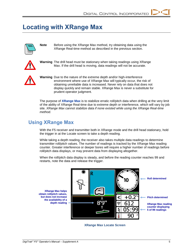## <span id="page-6-0"></span>**Locating with XRange Max**



**Note** Before using the XRange Max method, try obtaining data using the XRange Real-time method as described in the previous section.



**Warning** The drill head must be stationary when taking readings using XRange Max. If the drill head is moving, data readings will not be accurate.



**Warning** Due to the nature of the extreme depth and/or high-interference environment where use of XRange Max will typically occur, the risk of obtaining unreliable data is increased. Never rely on data that does not display quickly and remain stable. XRange Max is never a substitute for prudent operator judgment.

The purpose of **XRange Max** is to stabilize erratic roll/pitch data when drilling at the very limit of the ability of XRange Real-time due to extreme depth or interference, which will vary by job site. *XRange Max cannot stabilize data if none existed while using the XRange Real-time method.*

### <span id="page-6-1"></span>**Using XRange Max**

With the F5 receiver and transmitter both in XRange mode and the drill head stationary, hold the trigger in at the Locate screen to take a depth reading.

While taking a depth reading, the receiver also takes multiple data readings to determine transmitter roll/pitch values. The number of readings is tracked by the XRange Max reading counter. Greater interference or deeper bores will require a higher number of readings before roll/pitch data displays, or may prevent data from displaying altogether.

When the roll/pitch data display is steady, and before the reading counter reaches 99 and restarts, note the data and release the trigger.

**XRange Max helps obtain roll/pitch values, but does not increase the availability of a depth reading**



**XRange Max Locate Screen**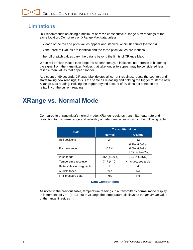### <span id="page-7-0"></span>**Limitations**

DCI recommends obtaining a minimum of *three* consecutive XRange Max readings at the same location. Do not rely on XRange Max data unless:

- each of the roll and pitch values appear and stabilize within 10 counts (seconds)
- the three roll values are identical and the three pitch values are identical

If the roll or pitch values vary, the data is beyond the limits of XRange Max.

When roll or pitch values take longer to appear steady, it indicates interference is hindering the signal from the transmitter. Values that take longer to appear may be considered less reliable than values that appear sooner.

At a count of 99 seconds, XRange Max deletes all current readings, resets the counter, and starts taking new readings; this is the same as releasing and holding the trigger to start a new XRange Max reading. Holding the trigger beyond a count of 99 does not increase the reliability of the current reading.

# <span id="page-7-1"></span>**XRange vs. Normal Mode**

|                            | <b>Transmitter Mode</b>    |                                                     |
|----------------------------|----------------------------|-----------------------------------------------------|
| <b>Data</b>                | <b>Normal</b>              | <b>XRange</b>                                       |
| Roll positions             | 24                         | 12                                                  |
| Pitch resolution           | 0.1%                       | $0.2\%$ at 0-3%<br>$0.5\%$ at 3-9%<br>1.0% at 9–45% |
| Pitch range                | $±45^{\circ}$ ( $±100\%$ ) | ±24.2°(±45%)                                        |
| Temperature resolution     | $7^\circ$ F (4 $^\circ$ C) | 4 ranges; see table                                 |
| Battery life icon segments |                            | 4                                                   |
| Audible tones              | Yes                        | <b>No</b>                                           |
| FPT pressure data          | Yes                        | No                                                  |

Compared to a transmitter's normal mode, XRange regulates transmitter data rate and resolution to maximize range and reliability of data transfer, as shown in the following table.

#### **Data Comparisons**

<span id="page-7-2"></span>As noted in the previous table, temperature readings in a transmitter's normal mode display in increments of 7° F (4° C), but in XRange the temperature displays as the *maximum* value of the range it resides in.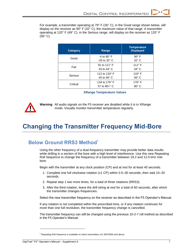For example, a transmitter operating at 79° F (26° C), in the Good range shown below, will display on the receiver as  $90^{\circ}$  F (32 $^{\circ}$  C), the maximum value of that range. A transmitter operating at 120° F (49° C), in the Serious range, will display on the receiver as 133° F (56° C).

| <b>Category</b> | Range                                           | <b>Temperature</b><br><b>Displayed</b> |
|-----------------|-------------------------------------------------|----------------------------------------|
| Good            | $-4$ to 90 $\degree$ F<br>$-20$ to $32^\circ$ C | $90^\circ$ F<br>$32^{\circ}$ C         |
| Fair            | 91 to 111° F<br>33 to $44^{\circ}$ C            | $111^\circ F$<br>$44^{\circ}$ C        |
| Serious         | 112 to 133° F<br>45 to 56 $\degree$ C           | $133^\circ$ F<br>$56^{\circ}$ C        |
| Critical        | 134 to 176° F<br>57 to $80 + ^{\circ}$ C        | $176^\circ$ F<br>$80^\circ$ C          |

#### **XRange Temperature Values**



**Warning** All audio signals on the F5 receiver are disabled while it is in XRange mode. Visually monitor transmitter temperature regularly.

# <span id="page-8-0"></span>**Changing the Transmitter Frequency Mid-Bore**

#### <span id="page-8-1"></span>**Below Ground RRS3 Method<sup>1</sup>**

Using the other frequency of a dual-frequency transmitter may provide better data results while drilling in a section of the bore with a high level of interference. Use this new Repeating Roll Sequence to change the frequency of a transmitter between 19.2 and 12.0 kHz midbore.

Begin with the transmitter at any clock position (CP) and at rest for at least 40 seconds.

- 1. Complete one full clockwise rotation  $(\pm 1 \text{ CP})$  within 0.5–30 seconds, then wait 10–20 seconds.
- 2. Repeat step 1 two more times, for a total of three rotations (RRS3).
- 3. After the third rotation, leave the drill string at rest for a total of 60 seconds, after which the transmitter changes frequencies.

Select the new transmitter frequency on the receiver as described in the F5 Operator's Manual.

If any rotation is not completed within the prescribed time, or if any rotation continues for more than one full revolution, the transmitter frequency change is cancelled.

The transmitter frequency can still be changed using the previous 10-2-7 roll method as described in the F5 Operator's Manual.

l

 $1$  Repeating Roll Sequence is available on select transmitters s/n 30070000 and above.